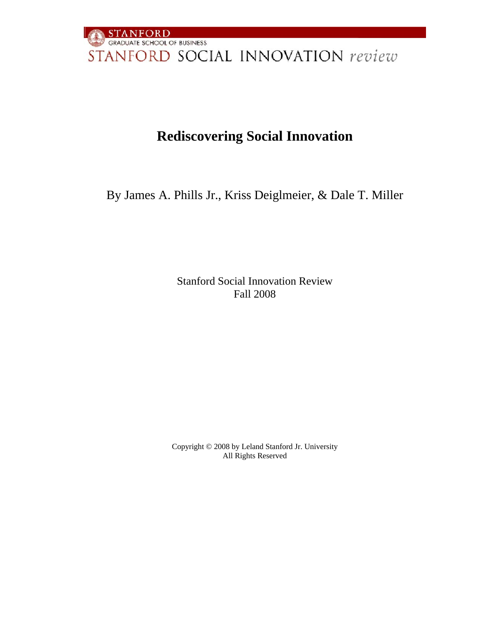

### **Rediscovering Social Innovation**

By James A. Phills Jr., Kriss Deiglmeier, & Dale T. Miller

Stanford Social Innovation Review Fall 2008

Copyright © 2008 by Leland Stanford Jr. University All Rights Reserved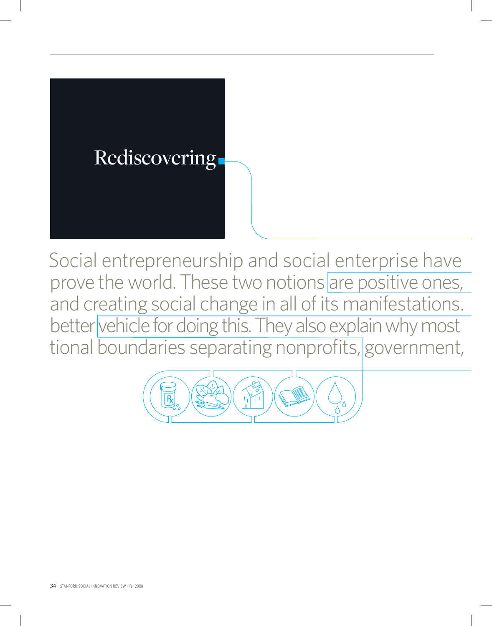# Rediscovering

Social entrepreneurship and social enterprise have prove the world. These two notions are positive ones, and creating social change in all of its manifestations. better vehicle for doing this. They also explain why most tional boundaries separating nonprofits, government,

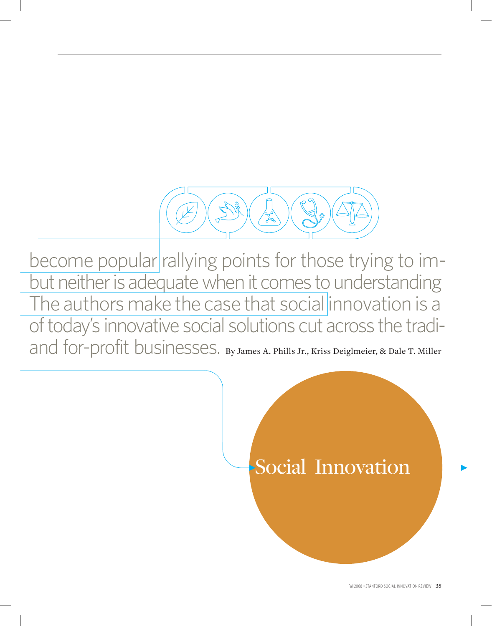

become popular rallying points for those trying to imbut neither is adequate when it comes to understanding The authors make the case that social innovation is a of today's innovative social solutions cut across the tradiand for-profit businesses. By James A. Phills Jr., Kriss Deiglmeier, & Dale T. Miller

# Social Innovation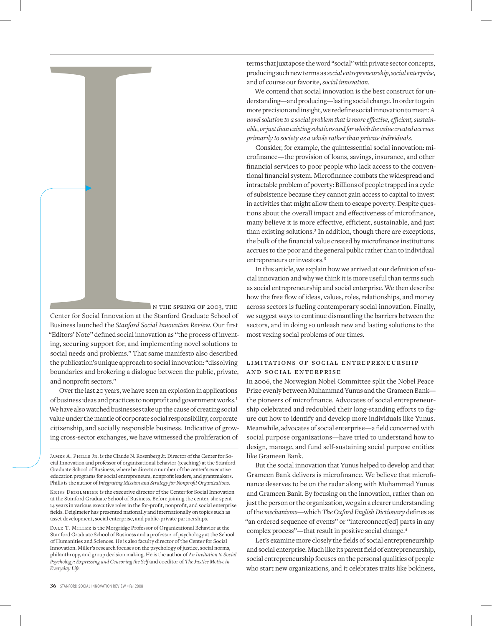

Center for Social Innovation at the Stanford Graduate School of Business launched the *Stanford Social Innovation Review*. Our first "Editors' Note" defined social innovation as "the process of inventing, securing support for, and implementing novel solutions to social needs and problems." That same manifesto also described the publication's unique approach to social innovation: "dissolving boundaries and brokering a dialogue between the public, private, and nonprofit sectors."

Over the last 20 years, we have seen an explosion in applications of business ideas and practices to nonprofit and government works.<sup>1</sup> We have also watched businesses take up the cause of creating social value under the mantle of corporate social responsibility, corporate citizenship, and socially responsible business. Indicative of growing cross-sector exchanges, we have witnessed the proliferation of

KRISS DEIGLMEIER is the executive director of the Center for Social Innovation at the Stanford Graduate School of Business. Before joining the center, she spent 14 years in various executive roles in the for-profit, nonprofit, and social enterprise fields. Deiglmeier has presented nationally and internationally on topics such as asset development, social enterprise, and public-private partnerships.

Dale T. Miller is the Morgridge Professor of Organizational Behavior at the Stanford Graduate School of Business and a professor of psychology at the School of Humanities and Sciences. He is also faculty director of the Center for Social Innovation. Miller's research focuses on the psychology of justice, social norms, philanthropy, and group decision making. He is the author of *An Invitation to Social Psychology: Expressing and Censoring the Self* and coeditor of *The Justice Motive in Everyday Life.*

terms that juxtapose the word "social" with private sector concepts, producing such new terms as *social entrepreneurship*, *social enterprise*, and of course our favorite, *social innovation.*

We contend that social innovation is the best construct for understanding—and producing—lasting social change. In order to gain more precision and insight, we redefine social innovation to mean: *A novel solution to a social problem that is more effective, efficient, sustainable, or just than existing solutions and for which the value created accrues primarily to society as a whole rather than private individuals*.

Consider, for example, the quintessential social innovation: microfinance—the provision of loans, savings, insurance, and other financial services to poor people who lack access to the conventional financial system. Microfinance combats the widespread and intractable problem of poverty: Billions of people trapped in a cycle of subsistence because they cannot gain access to capital to invest in activities that might allow them to escape poverty. Despite questions about the overall impact and effectiveness of microfinance, many believe it is more effective, efficient, sustainable, and just than existing solutions.<sup>2</sup> In addition, though there are exceptions, the bulk of the financial value created by microfinance institutions accrues to the poor and the general public rather than to individual entrepreneurs or investors.<sup>3</sup>

In this article, we explain how we arrived at our definition of social innovation and why we think it is more useful than terms such as social entrepreneurship and social enterprise. We then describe how the free flow of ideas, values, roles, relationships, and money across sectors is fueling contemporary social innovation. Finally, we suggest ways to continue dismantling the barriers between the sectors, and in doing so unleash new and lasting solutions to the most vexing social problems of our times.

#### LIMITATIONS OF SOCIAL ENTREPRENEURSHIP and social enterprise

In 2006, the Norwegian Nobel Committee split the Nobel Peace Prize evenly between Muhammad Yunus and the Grameen Bank the pioneers of microfinance. Advocates of social entrepreneurship celebrated and redoubled their long-standing efforts to figure out how to identify and develop more individuals like Yunus. Meanwhile, advocates of social enterprise—a field concerned with social purpose organizations—have tried to understand how to design, manage, and fund self-sustaining social purpose entities like Grameen Bank.

But the social innovation that Yunus helped to develop and that Grameen Bank delivers is microfinance. We believe that microfinance deserves to be on the radar along with Muhammad Yunus and Grameen Bank. By focusing on the innovation, rather than on just the person or the organization, we gain a clearer understanding of the *mechanisms*—which *The Oxford English Dictionary* defines as "an ordered sequence of events" or "interconnect[ed] parts in any complex process"—that result in positive social change.<sup>4</sup>

Let's examine more closely the fields of social entrepreneurship and social enterprise. Much like its parent field of entrepreneurship, social entrepreneurship focuses on the personal qualities of people who start new organizations, and it celebrates traits like boldness,

James A. Phills Jr. is the Claude N. Rosenberg Jr. Director of the Center for Social Innovation and professor of organizational behavior (teaching) at the Stanford Graduate School of Business, where he directs a number of the center's executive education programs for social entrepreneurs, nonprofit leaders, and grantmakers. Phills is the author of *Integrating Mission and Strategy for Nonprofit Organizations.*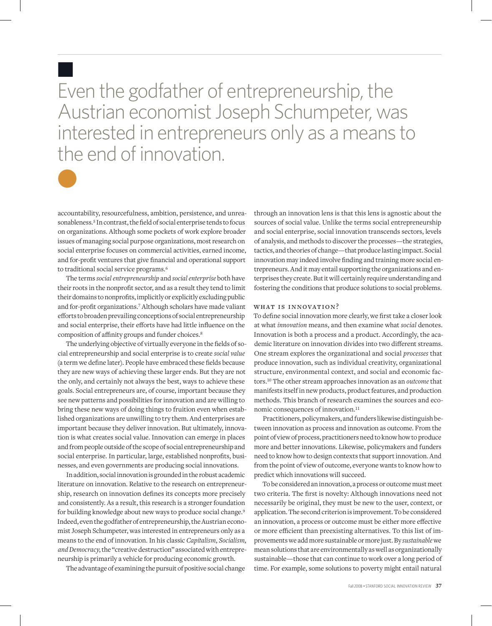Even the godfather of entrepreneurship, the Austrian economist Joseph Schumpeter, was interested in entrepreneurs only as a means to the end of innovation.



n

accountability, resourcefulness, ambition, persistence, and unreasonableness.<sup>5</sup> In contrast, the field of social enterprise tends to focus on organizations. Although some pockets of work explore broader issues of managing social purpose organizations, most research on social enterprise focuses on commercial activities, earned income, and for-profit ventures that give financial and operational support to traditional social service programs.<sup>6</sup>

The terms *social entrepreneurship* and *social enterprise* both have their roots in the nonprofit sector, and as a result they tend to limit their domains to nonprofits, implicitly or explicitly excluding public and for-profit organizations.7 Although scholars have made valiant efforts to broaden prevailing conceptions of social entrepreneurship and social enterprise, their efforts have had little influence on the composition of affinity groups and funder choices.<sup>8</sup>

The underlying objective of virtually everyone in the fields of social entrepreneurship and social enterprise is to create *social value*  (a term we define later). People have embraced these fields because they are new ways of achieving these larger ends. But they are not the only, and certainly not always the best, ways to achieve these goals. Social entrepreneurs are, of course, important because they see new patterns and possibilities for innovation and are willing to bring these new ways of doing things to fruition even when established organizations are unwilling to try them. And enterprises are important because they deliver innovation. But ultimately, innovation is what creates social value. Innovation can emerge in places and from people outside of the scope of social entrepreneurship and social enterprise. In particular, large, established nonprofits, businesses, and even governments are producing social innovations.

In addition, social innovation is grounded in the robust academic literature on innovation. Relative to the research on entrepreneurship, research on innovation defines its concepts more precisely and consistently. As a result, this research is a stronger foundation for building knowledge about new ways to produce social change.<sup>9</sup> Indeed, even the godfather of entrepreneurship, the Austrian economist Joseph Schumpeter, was interested in entrepreneurs only as a means to the end of innovation. In his classic *Capitalism, Socialism, and Democracy*, the "creative destruction" associated with entrepreneurship is primarily a vehicle for producing economic growth.

The advantage of examining the pursuit of positive social change

through an innovation lens is that this lens is agnostic about the sources of social value. Unlike the terms social entrepreneurship and social enterprise, social innovation transcends sectors, levels of analysis, and methods to discover the processes—the strategies, tactics, and theories of change—that produce lasting impact. Social innovation may indeed involve finding and training more social entrepreneurs. And it may entail supporting the organizations and enterprises they create. But it will certainly require understanding and fostering the conditions that produce solutions to social problems.

#### WHAT IS INNOVATION?

To define social innovation more clearly, we first take a closer look at what *innovation* means, and then examine what *social* denotes. Innovation is both a process and a product. Accordingly, the academic literature on innovation divides into two different streams. One stream explores the organizational and social *processes* that produce innovation, such as individual creativity, organizational structure, environmental context, and social and economic factors.10 The other stream approaches innovation as an *outcome* that manifests itself in new products, product features, and production methods. This branch of research examines the sources and economic consequences of innovation.<sup>11</sup>

Practitioners, policymakers, and funders likewise distinguish between innovation as process and innovation as outcome. From the point of view of process, practitioners need to know how to produce more and better innovations. Likewise, policymakers and funders need to know how to design contexts that support innovation. And from the point of view of outcome, everyone wants to know how to predict which innovations will succeed.

To be considered an innovation, a process or outcome must meet two criteria. The first is novelty: Although innovations need not necessarily be original, they must be new to the user, context, or application. The second criterion is improvement. To be considered an innovation, a process or outcome must be either more effective or more efficient than preexisting alternatives. To this list of improvements we add more sustainable or more just. By *sustainable* we mean solutions that are environmentally as well as organizationally sustainable—those that can continue to work over a long period of time. For example, some solutions to poverty might entail natural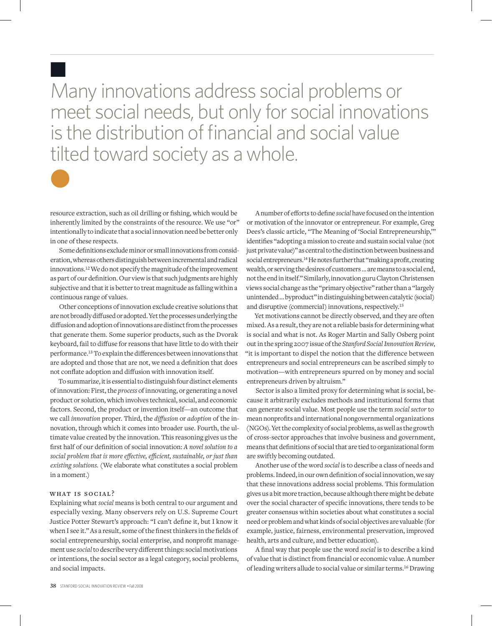Many innovations address social problems or meet social needs, but only for social innovations is the distribution of financial and social value tilted toward society as a whole.



n

resource extraction, such as oil drilling or fishing, which would be inherently limited by the constraints of the resource. We use "or" intentionally to indicate that a social innovation need be better only in one of these respects.

Some definitions exclude minor or small innovations from consideration, whereas others distinguish between incremental and radical innovations.12 We do not specify the magnitude of the improvement as part of our definition. Our view is that such judgments are highly subjective and that it is better to treat magnitude as falling within a continuous range of values.

Other conceptions of innovation exclude creative solutions that are not broadly diffused or adopted. Yet the processes underlying the diffusion and adoption of innovations are distinct from the processes that generate them. Some superior products, such as the Dvorak keyboard, fail to diffuse for reasons that have little to do with their performance.13 To explain the differences between innovations that are adopted and those that are not, we need a definition that does not conflate adoption and diffusion with innovation itself.

To summarize, it is essential to distinguish four distinct elements of innovation: First, the *process* of innovating, or generating a novel product or solution, which involves technical, social, and economic factors. Second, the product or invention itself—an outcome that we call *innovation* proper. Third, the *diffusion* or *adoption* of the innovation, through which it comes into broader use. Fourth, the ultimate value created by the innovation. This reasoning gives us the first half of our definition of social innovation: *A novel solution to a social problem that is more effective, efficient, sustainable, or just than existing solutions.* (We elaborate what constitutes a social problem in a moment.)

#### WHAT IS SOCIAL?

Explaining what *social* means is both central to our argument and especially vexing. Many observers rely on U.S. Supreme Court Justice Potter Stewart's approach: "I can't define it, but I know it when I see it." As a result, some of the finest thinkers in the fields of social entrepreneurship, social enterprise, and nonprofit management use *social* to describe very different things: social motivations or intentions, the social sector as a legal category, social problems, and social impacts.

A number of efforts to define *social* have focused on the intention or motivation of the innovator or entrepreneur. For example, Greg Dees's classic article, "The Meaning of 'Social Entrepreneurship,'" identifies "adopting a mission to create and sustain social value (not just private value)" as central to the distinction between business and social entrepreneurs.14 He notes further that "making a profit, creating wealth, or serving the desires of customers … are means to a social end, not the end in itself." Similarly, innovation guru Clayton Christensen views social change as the "primary objective" rather than a "largely unintended … byproduct" in distinguishing between catalytic (social) and disruptive (commercial) innovations, respectively.<sup>15</sup>

Yet motivations cannot be directly observed, and they are often mixed. As a result, they are not a reliable basis for determining what is social and what is not. As Roger Martin and Sally Osberg point out in the spring 2007 issue of the *Stanford Social Innovation Review*, "it is important to dispel the notion that the difference between entrepreneurs and social entrepreneurs can be ascribed simply to motivation—with entrepreneurs spurred on by money and social entrepreneurs driven by altruism."

Sector is also a limited proxy for determining what is social, because it arbitrarily excludes methods and institutional forms that can generate social value. Most people use the term *social sector* to mean nonprofits and international nongovernmental organizations (NGOs). Yet the complexity of social problems, as well as the growth of cross-sector approaches that involve business and government, means that definitions of social that are tied to organizational form are swiftly becoming outdated.

Another use of the word *social* is to describe a class of needs and problems. Indeed, in our own definition of social innovation, we say that these innovations address social problems. This formulation gives us a bit more traction, because although there might be debate over the social character of specific innovations, there tends to be greater consensus within societies about what constitutes a social need or problem and what kinds of social objectives are valuable (for example, justice, fairness, environmental preservation, improved health, arts and culture, and better education).

A final way that people use the word *social* is to describe a kind of value that is distinct from financial or economic value. A number of leading writers allude to social value or similar terms.16 Drawing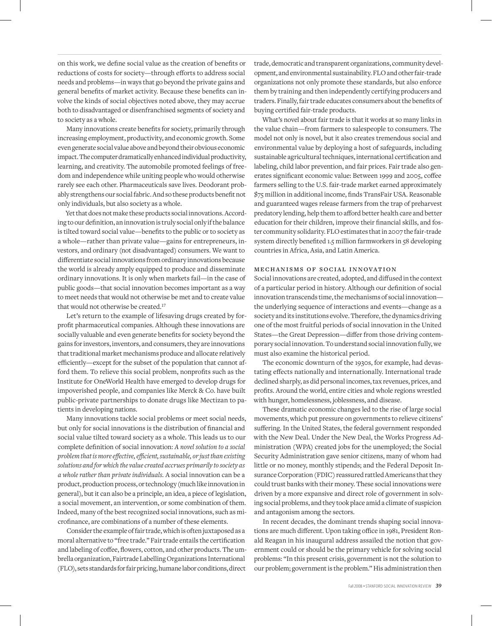on this work, we define social value as the creation of benefits or reductions of costs for society—through efforts to address social needs and problems—in ways that go beyond the private gains and general benefits of market activity. Because these benefits can involve the kinds of social objectives noted above, they may accrue both to disadvantaged or disenfranchised segments of society and to society as a whole.

Many innovations create benefits for society, primarily through increasing employment, productivity, and economic growth. Some even generate social value above and beyond their obvious economic impact. The computer dramatically enhanced individual productivity, learning, and creativity. The automobile promoted feelings of freedom and independence while uniting people who would otherwise rarely see each other. Pharmaceuticals save lives. Deodorant probably strengthens our social fabric. And so these products benefit not only individuals, but also society as a whole.

Yet that does not make these products social innovations. According to our definition, an innovation is truly social only if the balance is tilted toward social value—benefits to the public or to society as a whole—rather than private value—gains for entrepreneurs, investors, and ordinary (not disadvantaged) consumers. We want to differentiate social innovations from ordinary innovations because the world is already amply equipped to produce and disseminate ordinary innovations. It is only when markets fail—in the case of public goods—that social innovation becomes important as a way to meet needs that would not otherwise be met and to create value that would not otherwise be created.<sup>17</sup>

Let's return to the example of lifesaving drugs created by forprofit pharmaceutical companies. Although these innovations are socially valuable and even generate benefits for society beyond the gains for investors, inventors, and consumers, they are innovations that traditional market mechanisms produce and allocate relatively efficiently—except for the subset of the population that cannot afford them. To relieve this social problem, nonprofits such as the Institute for OneWorld Health have emerged to develop drugs for impoverished people, and companies like Merck & Co. have built public-private partnerships to donate drugs like Mectizan to patients in developing nations.

Many innovations tackle social problems or meet social needs, but only for social innovations is the distribution of financial and social value tilted toward society as a whole. This leads us to our complete definition of social innovation: *A novel solution to a social problem that is more effective, efficient, sustainable, or just than existing solutions and for which the value created accrues primarily to society as a whole rather than private individuals.* A social innovation can be a product, production process, or technology (much like innovation in general), but it can also be a principle, an idea, a piece of legislation, a social movement, an intervention, or some combination of them. Indeed, many of the best recognized social innovations, such as microfinance, are combinations of a number of these elements.

Consider the example of fair trade, which is often juxtaposed as a moral alternative to "free trade." Fair trade entails the certification and labeling of coffee, flowers, cotton, and other products. The umbrella organization, Fairtrade Labelling Organizations International (FLO), sets standards for fair pricing, humane labor conditions, direct

trade, democratic and transparent organizations, community development, and environmental sustainability. FLO and other fair-trade organizations not only promote these standards, but also enforce them by training and then independently certifying producers and traders. Finally, fair trade educates consumers about the benefits of buying certified fair-trade products.

What's novel about fair trade is that it works at so many links in the value chain—from farmers to salespeople to consumers. The model not only is novel, but it also creates tremendous social and environmental value by deploying a host of safeguards, including sustainable agricultural techniques, international certification and labeling, child labor prevention, and fair prices. Fair trade also generates significant economic value: Between 1999 and 2005, coffee farmers selling to the U.S. fair-trade market earned approximately \$75 million in additional income, finds TransFair USA. Reasonable and guaranteed wages release farmers from the trap of preharvest predatory lending, help them to afford better health care and better education for their children, improve their financial skills, and foster community solidarity. FLO estimates that in 2007 the fair-trade system directly benefited 1.5 million farmworkers in 58 developing countries in Africa, Asia, and Latin America.

#### mechanisms of social innovation

Social innovations are created, adopted, and diffused in the context of a particular period in history. Although our definition of social innovation transcends time, the mechanisms of social innovation the underlying sequence of interactions and events—change as a society and its institutions evolve. Therefore, the dynamics driving one of the most fruitful periods of social innovation in the United States—the Great Depression—differ from those driving contemporary social innovation. To understand social innovation fully, we must also examine the historical period.

The economic downturn of the 1930s, for example, had devastating effects nationally and internationally. International trade declined sharply, as did personal incomes, tax revenues, prices, and profits. Around the world, entire cities and whole regions wrestled with hunger, homelessness, joblessness, and disease.

These dramatic economic changes led to the rise of large social movements, which put pressure on governments to relieve citizens' suffering. In the United States, the federal government responded with the New Deal. Under the New Deal, the Works Progress Administration (WPA) created jobs for the unemployed; the Social Security Administration gave senior citizens, many of whom had little or no money, monthly stipends; and the Federal Deposit Insurance Corporation (FDIC) reassured rattled Americans that they could trust banks with their money. These social innovations were driven by a more expansive and direct role of government in solving social problems, and they took place amid a climate of suspicion and antagonism among the sectors.

In recent decades, the dominant trends shaping social innovations are much different. Upon taking office in 1981, President Ronald Reagan in his inaugural address assailed the notion that government could or should be the primary vehicle for solving social problems: "In this present crisis, government is not the solution to our problem; government is the problem." His administration then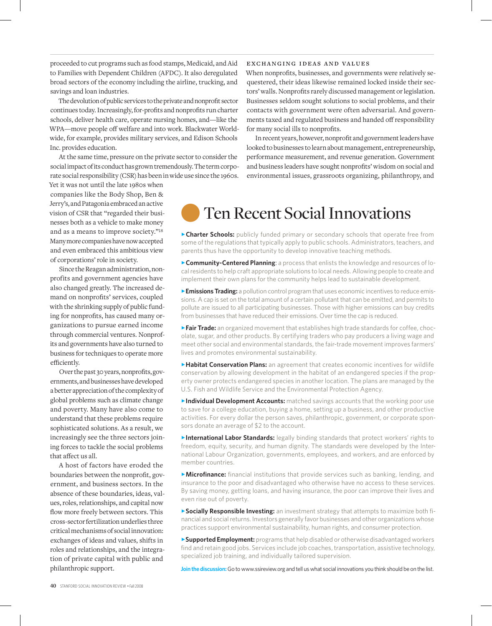proceeded to cut programs such as food stamps, Medicaid, and Aid to Families with Dependent Children (AFDC). It also deregulated broad sectors of the economy including the airline, trucking, and savings and loan industries.

The devolution of public services to the private and nonprofit sector continues today. Increasingly, for-profits and nonprofits run charter schools, deliver health care, operate nursing homes, and—like the WPA—move people off welfare and into work. Blackwater Worldwide, for example, provides military services, and Edison Schools Inc. provides education.

At the same time, pressure on the private sector to consider the social impact of its conduct has grown tremendously. The term corporate social responsibility (CSR) has been in wide use since the 1960s.

Yet it was not until the late 1980s when companies like the Body Shop, Ben & Jerry's, and Patagonia embraced an active vision of CSR that "regarded their businesses both as a vehicle to make money and as a means to improve society."<sup>18</sup> Many more companies have now accepted and even embraced this ambitious view of corporations' role in society.

Since the Reagan administration, nonprofits and government agencies have also changed greatly. The increased demand on nonprofits' services, coupled with the shrinking supply of public funding for nonprofits, has caused many organizations to pursue earned income through commercial ventures. Nonprofits and governments have also turned to business for techniques to operate more efficiently.

Over the past 30 years, nonprofits, governments, and businesses have developed a better appreciation of the complexity of global problems such as climate change and poverty. Many have also come to understand that these problems require sophisticated solutions. As a result, we increasingly see the three sectors joining forces to tackle the social problems that affect us all.

A host of factors have eroded the boundaries between the nonprofit, government, and business sectors. In the absence of these boundaries, ideas, values, roles, relationships, and capital now flow more freely between sectors. This cross-sector fertilization underlies three critical mechanisms of social innovation: exchanges of ideas and values, shifts in roles and relationships, and the integration of private capital with public and philanthropic support.

#### exchanging ideas and values

When nonprofits, businesses, and governments were relatively sequestered, their ideas likewise remained locked inside their sectors' walls. Nonprofits rarely discussed management or legislation. Businesses seldom sought solutions to social problems, and their contacts with government were often adversarial. And governments taxed and regulated business and handed off responsibility for many social ills to nonprofits.

In recent years, however, nonprofit and government leaders have looked to businesses to learn about management, entrepreneurship, performance measurement, and revenue generation. Government and business leaders have sought nonprofits' wisdom on social and environmental issues, grassroots organizing, philanthropy, and

## **Ten Recent Social Innovations**

**Charter Schools:** publicly funded primary or secondary schools that operate free from some of the regulations that typically apply to public schools. Administrators, teachers, and parents thus have the opportunity to develop innovative teaching methods.

**Community-Centered Planning**: a process that enlists the knowledge and resources of local residents to help craft appropriate solutions to local needs. Allowing people to create and implement their own plans for the community helps lead to sustainable development.

**Emissions Trading:** a pollution control program that uses economic incentives to reduce emissions. A cap is set on the total amount of a certain pollutant that can be emitted, and permits to pollute are issued to all participating businesses. Those with higher emissions can buy credits from businesses that have reduced their emissions. Over time the cap is reduced.

**>Fair Trade:** an organized movement that establishes high trade standards for coffee, chocolate, sugar, and other products. By certifying traders who pay producers a living wage and meet other social and environmental standards, the fair-trade movement improves farmers' lives and promotes environmental sustainability.

**Habitat Conservation Plans:** an agreement that creates economic incentives for wildlife conservation by allowing development in the habitat of an endangered species if the property owner protects endangered species in another location. The plans are managed by the U.S. Fish and Wildlife Service and the Environmental Protection Agency.

**Individual Development Accounts:** matched savings accounts that the working poor use to save for a college education, buying a home, setting up a business, and other productive activities. For every dollar the person saves, philanthropic, government, or corporate sponsors donate an average of \$2 to the account.

**International Labor Standards:** legally binding standards that protect workers' rights to freedom, equity, security, and human dignity. The standards were developed by the International Labour Organization, governments, employees, and workers, and are enforced by member countries.

**Microfinance:** financial institutions that provide services such as banking, lending, and insurance to the poor and disadvantaged who otherwise have no access to these services. By saving money, getting loans, and having insurance, the poor can improve their lives and even rise out of poverty.

**>Socially Responsible Investing:** an investment strategy that attempts to maximize both financial and social returns. Investors generally favor businesses and other organizations whose practices support environmental sustainability, human rights, and consumer protection.

**>Supported Employment:** programs that help disabled or otherwise disadvantaged workers find and retain good jobs. Services include job coaches, transportation, assistive technology, specialized job training, and individually tailored supervision.

**Join the discussion:** Go to www.ssireview.org and tell us what social innovations you think should be on the list.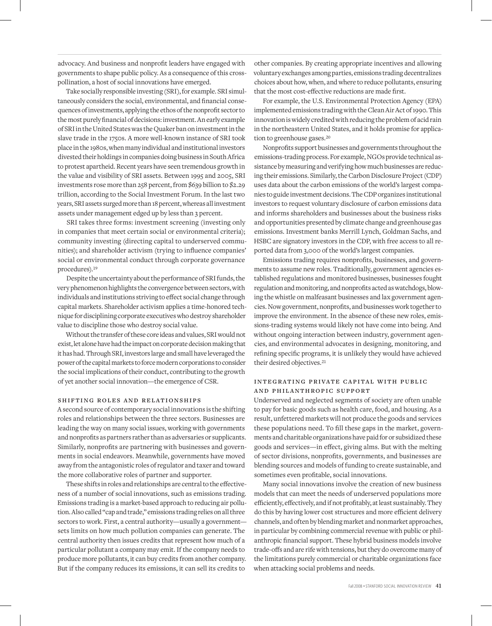advocacy. And business and nonprofit leaders have engaged with governments to shape public policy. As a consequence of this crosspollination, a host of social innovations have emerged.

Take socially responsible investing (SRI), for example. SRI simultaneously considers the social, environmental, and financial consequences of investments, applying the ethos of the nonprofit sector to the most purely financial of decisions: investment. An early example of SRI in the United States was the Quaker ban on investment in the slave trade in the 1750s. A more well-known instance of SRI took place in the 1980s, when many individual and institutional investors divested their holdings in companies doing business in South Africa to protest apartheid. Recent years have seen tremendous growth in the value and visibility of SRI assets. Between 1995 and 2005, SRI investments rose more than 258 percent, from \$639 billion to \$2.29 trillion, according to the Social Investment Forum. In the last two years, SRI assets surged more than 18 percent, whereas all investment assets under management edged up by less than 3 percent.

SRI takes three forms: investment screening (investing only in companies that meet certain social or environmental criteria); community investing (directing capital to underserved communities); and shareholder activism (trying to influence companies' social or environmental conduct through corporate governance procedures).<sup>19</sup>

Despite the uncertainty about the performance of SRI funds, the very phenomenon highlights the convergence between sectors, with individuals and institutions striving to effect social change through capital markets. Shareholder activism applies a time-honored technique for disciplining corporate executives who destroy shareholder value to discipline those who destroy social value.

Without the transfer of these core ideas and values, SRI would not exist, let alone have had the impact on corporate decision making that it has had. Through SRI, investors large and small have leveraged the power of the capital markets to force modern corporations to consider the social implications of their conduct, contributing to the growth of yet another social innovation—the emergence of CSR.

#### shifting roles and relationships

A second source of contemporary social innovations is the shifting roles and relationships between the three sectors. Businesses are leading the way on many social issues, working with governments and nonprofits as partners rather than as adversaries or supplicants. Similarly, nonprofits are partnering with businesses and governments in social endeavors. Meanwhile, governments have moved away from the antagonistic roles of regulator and taxer and toward the more collaborative roles of partner and supporter.

These shifts in roles and relationships are central to the effectiveness of a number of social innovations, such as emissions trading. Emissions trading is a market-based approach to reducing air pollution. Also called "cap and trade," emissions trading relies on all three sectors to work. First, a central authority—usually a government sets limits on how much pollution companies can generate. The central authority then issues credits that represent how much of a particular pollutant a company may emit. If the company needs to produce more pollutants, it can buy credits from another company. But if the company reduces its emissions, it can sell its credits to

other companies. By creating appropriate incentives and allowing voluntary exchanges among parties, emissions trading decentralizes choices about how, when, and where to reduce pollutants, ensuring that the most cost-effective reductions are made first.

For example, the U.S. Environmental Protection Agency (EPA) implemented emissions trading with the Clean Air Act of 1990. This innovation is widely credited with reducing the problem of acid rain in the northeastern United States, and it holds promise for application to greenhouse gases.<sup>20</sup>

Nonprofits support businesses and governments throughout the emissions-trading process. For example, NGOs provide technical assistance by measuring and verifying how much businesses are reducing their emissions. Similarly, the Carbon Disclosure Project (CDP) uses data about the carbon emissions of the world's largest companies to guide investment decisions. The CDP organizes institutional investors to request voluntary disclosure of carbon emissions data and informs shareholders and businesses about the business risks and opportunities presented by climate change and greenhouse gas emissions. Investment banks Merrill Lynch, Goldman Sachs, and HSBC are signatory investors in the CDP, with free access to all reported data from 3,000 of the world's largest companies.

Emissions trading requires nonprofits, businesses, and governments to assume new roles. Traditionally, government agencies established regulations and monitored businesses, businesses fought regulation and monitoring, and nonprofits acted as watchdogs, blowing the whistle on malfeasant businesses and lax government agencies. Now government, nonprofits, and businesses work together to improve the environment. In the absence of these new roles, emissions-trading systems would likely not have come into being. And without ongoing interaction between industry, government agencies, and environmental advocates in designing, monitoring, and refining specific programs, it is unlikely they would have achieved their desired objectives.<sup>21</sup>

#### INTEGRATING PRIVATE CAPITAL WITH PUBLIC and philanthropic support

Underserved and neglected segments of society are often unable to pay for basic goods such as health care, food, and housing. As a result, unfettered markets will not produce the goods and services these populations need. To fill these gaps in the market, governments and charitable organizations have paid for or subsidized these goods and services—in effect, giving alms. But with the melting of sector divisions, nonprofits, governments, and businesses are blending sources and models of funding to create sustainable, and sometimes even profitable, social innovations.

Many social innovations involve the creation of new business models that can meet the needs of underserved populations more efficiently, effectively, and if not profitably, at least sustainably. They do this by having lower cost structures and more efficient delivery channels, and often by blending market and nonmarket approaches, in particular by combining commercial revenue with public or philanthropic financial support. These hybrid business models involve trade-offs and are rife with tensions, but they do overcome many of the limitations purely commercial or charitable organizations face when attacking social problems and needs.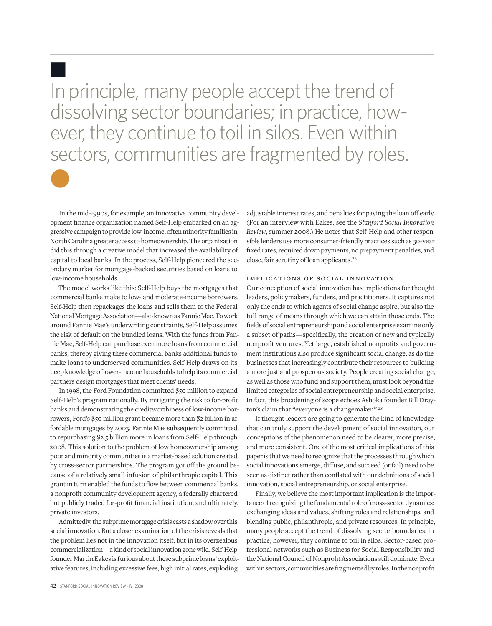In principle, many people accept the trend of dissolving sector boundaries; in practice, however, they continue to toil in silos. Even within sectors, communities are fragmented by roles.

In the mid-1990s, for example, an innovative community development finance organization named Self-Help embarked on an aggressive campaign to provide low-income, often minority families in North Carolina greater access to homeownership. The organization did this through a creative model that increased the availability of capital to local banks. In the process, Self-Help pioneered the secondary market for mortgage-backed securities based on loans to low-income households.

n

l

The model works like this: Self-Help buys the mortgages that commercial banks make to low- and moderate-income borrowers. Self-Help then repackages the loans and sells them to the Federal National Mortgage Association—also known as Fannie Mae. To work around Fannie Mae's underwriting constraints, Self-Help assumes the risk of default on the bundled loans. With the funds from Fannie Mae, Self-Help can purchase even more loans from commercial banks, thereby giving these commercial banks additional funds to make loans to underserved communities. Self-Help draws on its deep knowledge of lower-income households to help its commercial partners design mortgages that meet clients' needs.

In 1998, the Ford Foundation committed \$50 million to expand Self-Help's program nationally. By mitigating the risk to for-profit banks and demonstrating the creditworthiness of low-income borrowers, Ford's \$50 million grant became more than \$2 billion in affordable mortgages by 2003. Fannie Mae subsequently committed to repurchasing \$2.5 billion more in loans from Self-Help through 2008. This solution to the problem of low homeownership among poor and minority communities is a market-based solution created by cross-sector partnerships. The program got off the ground because of a relatively small infusion of philanthropic capital. This grant in turn enabled the funds to flow between commercial banks, a nonprofit community development agency, a federally chartered but publicly traded for-profit financial institution, and ultimately, private investors.

Admittedly, the subprime mortgage crisis casts a shadow over this social innovation. But a closer examination of the crisis reveals that the problem lies not in the innovation itself, but in its overzealous commercialization—a kind of social innovation gone wild. Self-Help founder Martin Eakes is furious about these subprime loans' exploitative features, including excessive fees, high initial rates, exploding

adjustable interest rates, and penalties for paying the loan off early. (For an interview with Eakes, see the *Stanford Social Innovation Review*, summer 2008.) He notes that Self-Help and other responsible lenders use more consumer-friendly practices such as 30-year fixed rates, required down payments, no prepayment penalties, and close, fair scrutiny of loan applicants.<sup>22</sup>

#### implications of social innovation

Our conception of social innovation has implications for thought leaders, policymakers, funders, and practitioners. It captures not only the ends to which agents of social change aspire, but also the full range of means through which we can attain those ends. The fields of social entrepreneurship and social enterprise examine only a subset of paths—specifically, the creation of new and typically nonprofit ventures. Yet large, established nonprofits and government institutions also produce significant social change, as do the businesses that increasingly contribute their resources to building a more just and prosperous society. People creating social change, as well as those who fund and support them, must look beyond the limited categories of social entrepreneurship and social enterprise. In fact, this broadening of scope echoes Ashoka founder Bill Drayton's claim that "everyone is a changemaker." <sup>23</sup>

If thought leaders are going to generate the kind of knowledge that can truly support the development of social innovation, our conceptions of the phenomenon need to be clearer, more precise, and more consistent. One of the most critical implications of this paper is that we need to recognize that the processes through which social innovations emerge, diffuse, and succeed (or fail) need to be seen as distinct rather than conflated with our definitions of social innovation, social entrepreneurship, or social enterprise.

Finally, we believe the most important implication is the importance of recognizing the fundamental role of cross-sector dynamics: exchanging ideas and values, shifting roles and relationships, and blending public, philanthropic, and private resources. In principle, many people accept the trend of dissolving sector boundaries; in practice, however, they continue to toil in silos. Sector-based professional networks such as Business for Social Responsibility and the National Council of Nonprofit Associations still dominate. Even within sectors, communities are fragmented by roles. In the nonprofit